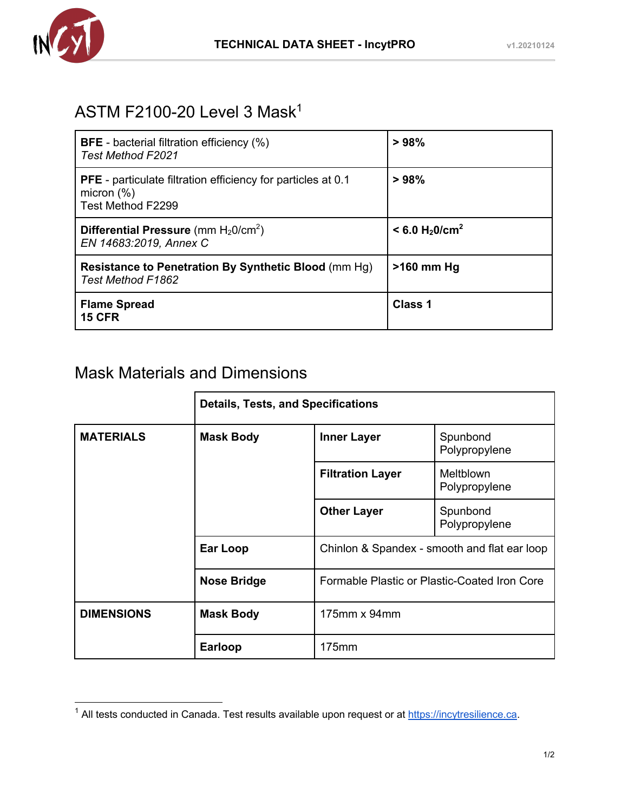

## ASTM F2100-20 Level 3 Mask1

| <b>BFE</b> - bacterial filtration efficiency (%)<br><b>Test Method F2021</b>                              | >98%                                     |
|-----------------------------------------------------------------------------------------------------------|------------------------------------------|
| <b>PFE</b> - particulate filtration efficiency for particles at 0.1<br>micron $(\%)$<br>Test Method F2299 | >98%                                     |
| Differential Pressure (mm $H_2O/cm^2$ )<br>EN 14683:2019, Annex C                                         | $< 6.0$ H <sub>2</sub> 0/cm <sup>2</sup> |
| Resistance to Penetration By Synthetic Blood (mm Hg)<br>Test Method F1862                                 | $>160$ mm Hg                             |
| <b>Flame Spread</b><br><b>15 CFR</b>                                                                      | Class 1                                  |

## Mask Materials and Dimensions

|                   | <b>Details, Tests, and Specifications</b> |                                                                                              |                            |  |
|-------------------|-------------------------------------------|----------------------------------------------------------------------------------------------|----------------------------|--|
| <b>MATERIALS</b>  | <b>Mask Body</b>                          | <b>Inner Layer</b>                                                                           | Spunbond<br>Polypropylene  |  |
|                   |                                           | <b>Filtration Layer</b>                                                                      | Meltblown<br>Polypropylene |  |
|                   |                                           | <b>Other Layer</b>                                                                           | Spunbond<br>Polypropylene  |  |
|                   | <b>Ear Loop</b>                           | Chinlon & Spandex - smooth and flat ear loop<br>Formable Plastic or Plastic-Coated Iron Core |                            |  |
|                   | <b>Nose Bridge</b>                        |                                                                                              |                            |  |
| <b>DIMENSIONS</b> | <b>Mask Body</b>                          | $175$ mm x 94mm                                                                              |                            |  |
|                   | <b>Earloop</b>                            | 175mm                                                                                        |                            |  |

<sup>&</sup>lt;sup>1</sup> All tests conducted in Canada. Test results available upon request or at https://incytresilience.ca.